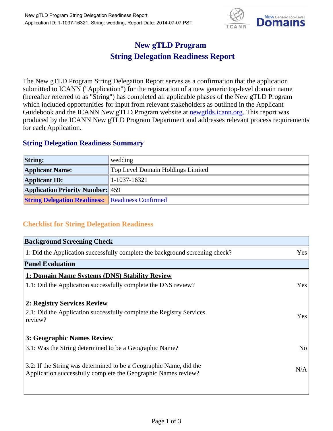

## **New gTLD Program String Delegation Readiness Report**

The New gTLD Program String Delegation Report serves as a confirmation that the application submitted to ICANN ("Application") for the registration of a new generic top-level domain name (hereafter referred to as "String") has completed all applicable phases of the New gTLD Program which included opportunities for input from relevant stakeholders as outlined in the Applicant Guidebook and the ICANN New gTLD Program website at **newgtlds.icann.org**. This report was produced by the ICANN New gTLD Program Department and addresses relevant process requirements for each Application.

## **String Delegation Readiness Summary**

| <b>String:</b>                                          | wedding                           |
|---------------------------------------------------------|-----------------------------------|
| <b>Applicant Name:</b>                                  | Top Level Domain Holdings Limited |
| <b>Applicant ID:</b>                                    | $ 1-1037-16321 $                  |
| <b>Application Priority Number: 459</b>                 |                                   |
| <b>String Delegation Readiness: Readiness Confirmed</b> |                                   |

## **Checklist for String Delegation Readiness**

| <b>Background Screening Check</b>                                               |                |
|---------------------------------------------------------------------------------|----------------|
| 1: Did the Application successfully complete the background screening check?    | Yes            |
| <b>Panel Evaluation</b>                                                         |                |
| 1: Domain Name Systems (DNS) Stability Review                                   |                |
| 1.1: Did the Application successfully complete the DNS review?                  | Yes            |
| 2: Registry Services Review                                                     |                |
|                                                                                 |                |
| 2.1: Did the Application successfully complete the Registry Services<br>review? | <b>Yes</b>     |
|                                                                                 |                |
| 3: Geographic Names Review                                                      |                |
| 3.1: Was the String determined to be a Geographic Name?                         | N <sub>0</sub> |
| 3.2: If the String was determined to be a Geographic Name, did the              |                |
| Application successfully complete the Geographic Names review?                  | N/A            |
|                                                                                 |                |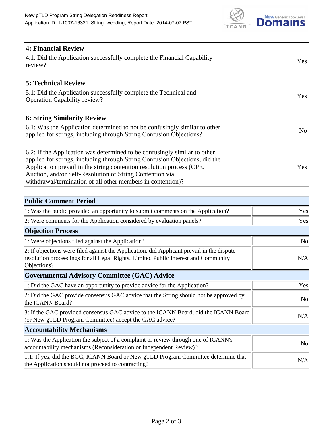

| <b>4: Financial Review</b>                                                         |            |
|------------------------------------------------------------------------------------|------------|
| $\vert$ 4.1: Did the Application successfully complete the Financial Capability    | <b>Yes</b> |
| review?                                                                            |            |
|                                                                                    |            |
| <b>5: Technical Review</b>                                                         |            |
| 5.1: Did the Application successfully complete the Technical and                   |            |
| <b>Operation Capability review?</b>                                                | <b>Yes</b> |
|                                                                                    |            |
| <b>6: String Similarity Review</b>                                                 |            |
| $\vert$ 6.1: Was the Application determined to not be confusingly similar to other | No         |
| applied for strings, including through String Confusion Objections?                |            |
|                                                                                    |            |
| 6.2: If the Application was determined to be confusingly similar to other          |            |
| applied for strings, including through String Confusion Objections, did the        |            |
| Application prevail in the string contention resolution process (CPE,              | Yes        |
| Auction, and/or Self-Resolution of String Contention via                           |            |
| withdrawal/termination of all other members in contention)?                        |            |

| <b>Public Comment Period</b>                                                                                                                                                                   |                |
|------------------------------------------------------------------------------------------------------------------------------------------------------------------------------------------------|----------------|
| 1: Was the public provided an opportunity to submit comments on the Application?                                                                                                               | Yes            |
| 2: Were comments for the Application considered by evaluation panels?                                                                                                                          | Yes            |
| <b>Objection Process</b>                                                                                                                                                                       |                |
| 1: Were objections filed against the Application?                                                                                                                                              | <b>No</b>      |
| 2: If objections were filed against the Application, did Applicant prevail in the dispute<br>resolution proceedings for all Legal Rights, Limited Public Interest and Community<br>Objections? | N/A            |
| <b>Governmental Advisory Committee (GAC) Advice</b>                                                                                                                                            |                |
| 1: Did the GAC have an opportunity to provide advice for the Application?                                                                                                                      | Yes            |
| 2: Did the GAC provide consensus GAC advice that the String should not be approved by<br>the ICANN Board?                                                                                      | <b>No</b>      |
| 3: If the GAC provided consensus GAC advice to the ICANN Board, did the ICANN Board<br>(or New gTLD Program Committee) accept the GAC advice?                                                  | N/A            |
| <b>Accountability Mechanisms</b>                                                                                                                                                               |                |
| 1: Was the Application the subject of a complaint or review through one of ICANN's<br>accountability mechanisms (Reconsideration or Independent Review)?                                       | N <sub>0</sub> |
| 1.1: If yes, did the BGC, ICANN Board or New gTLD Program Committee determine that<br>the Application should not proceed to contracting?                                                       | N/A            |